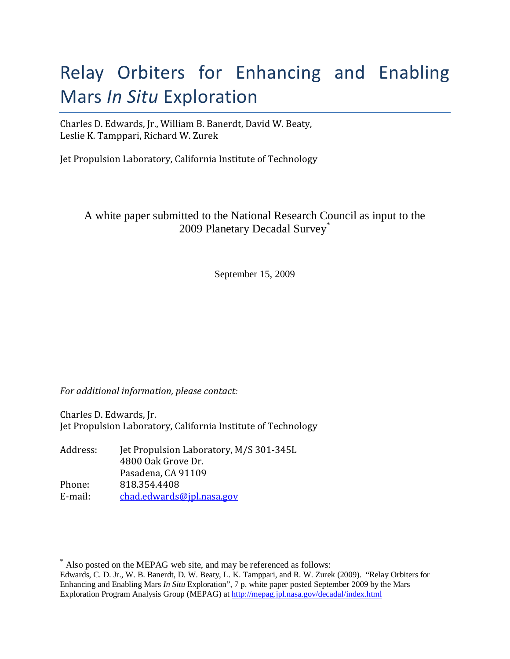# Relay Orbiters for Enhancing and Enabling Mars In Situ Exploration

Charles D. Edwards, Jr., William B. Banerdt, David W. Beaty, Leslie K. Tamppari, Richard W. Zurek

Jet Propulsion Laboratory, California Institute of Technology

A white paper submitted to the National Research Council as input to the 2009 Planetary Decadal Survey\*

September 15, 2009

For additional information, please contact:

<u>.</u>

Charles D. Edwards, Jr. Jet Propulsion Laboratory, California Institute of Technology

| Jet Propulsion Laboratory, M/S 301-345L |
|-----------------------------------------|
| 4800 Oak Grove Dr.                      |
| Pasadena, CA 91109                      |
| 818.354.4408                            |
| chad.edwards@jpl.nasa.gov               |
|                                         |

<sup>\*</sup> Also posted on the MEPAG web site, and may be referenced as follows:

Edwards, C. D. Jr., W. B. Banerdt, D. W. Beaty, L. K. Tamppari, and R. W. Zurek (2009). "Relay Orbiters for Enhancing and Enabling Mars *In Situ* Exploration", 7 p. white paper posted September 2009 by the Mars Exploration Program Analysis Group (MEPAG) at http://mepag.jpl.nasa.gov/decadal/index.html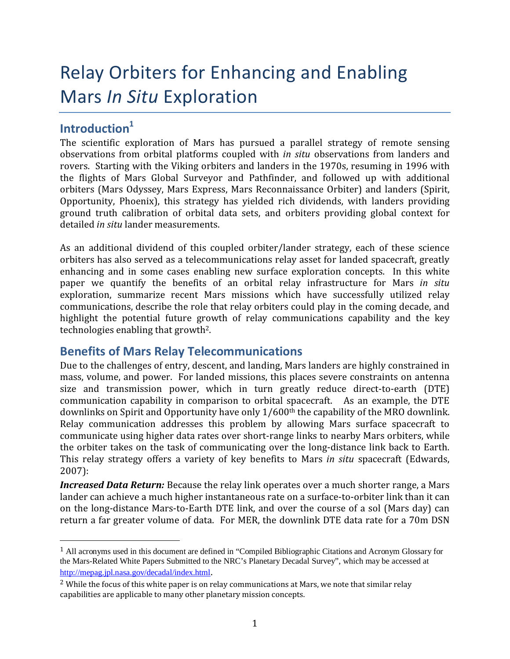# Relay Orbiters for Enhancing and Enabling Mars In Situ Exploration

## Introduction $1$

<u>.</u>

The scientific exploration of Mars has pursued a parallel strategy of remote sensing observations from orbital platforms coupled with in situ observations from landers and rovers. Starting with the Viking orbiters and landers in the 1970s, resuming in 1996 with the flights of Mars Global Surveyor and Pathfinder, and followed up with additional orbiters (Mars Odyssey, Mars Express, Mars Reconnaissance Orbiter) and landers (Spirit, Opportunity, Phoenix), this strategy has yielded rich dividends, with landers providing ground truth calibration of orbital data sets, and orbiters providing global context for detailed in situ lander measurements.

As an additional dividend of this coupled orbiter/lander strategy, each of these science orbiters has also served as a telecommunications relay asset for landed spacecraft, greatly enhancing and in some cases enabling new surface exploration concepts. In this white paper we quantify the benefits of an orbital relay infrastructure for Mars in situ exploration, summarize recent Mars missions which have successfully utilized relay communications, describe the role that relay orbiters could play in the coming decade, and highlight the potential future growth of relay communications capability and the key technologies enabling that growth<sup>2</sup>.

### Benefits of Mars Relay Telecommunications

Due to the challenges of entry, descent, and landing, Mars landers are highly constrained in mass, volume, and power. For landed missions, this places severe constraints on antenna size and transmission power, which in turn greatly reduce direct-to-earth (DTE) communication capability in comparison to orbital spacecraft. As an example, the DTE downlinks on Spirit and Opportunity have only 1/600<sup>th</sup> the capability of the MRO downlink. Relay communication addresses this problem by allowing Mars surface spacecraft to communicate using higher data rates over short-range links to nearby Mars orbiters, while the orbiter takes on the task of communicating over the long-distance link back to Earth. This relay strategy offers a variety of key benefits to Mars in situ spacecraft (Edwards, 2007):

**Increased Data Return:** Because the relay link operates over a much shorter range, a Mars lander can achieve a much higher instantaneous rate on a surface-to-orbiter link than it can on the long-distance Mars-to-Earth DTE link, and over the course of a sol (Mars day) can return a far greater volume of data. For MER, the downlink DTE data rate for a 70m DSN

<sup>1</sup> All acronyms used in this document are defined in "Compiled Bibliographic Citations and Acronym Glossary for the Mars-Related White Papers Submitted to the NRC's Planetary Decadal Survey", which may be accessed at http://mepag.jpl.nasa.gov/decadal/index.html.

 $2$  While the focus of this white paper is on relay communications at Mars, we note that similar relay capabilities are applicable to many other planetary mission concepts.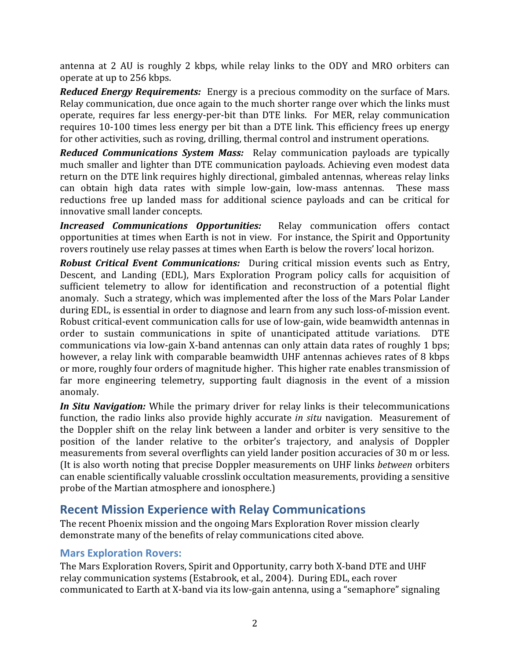antenna at 2 AU is roughly 2 kbps, while relay links to the ODY and MRO orbiters can operate at up to 256 kbps.

Reduced Energy Requirements: Energy is a precious commodity on the surface of Mars. Relay communication, due once again to the much shorter range over which the links must operate, requires far less energy-per-bit than DTE links. For MER, relay communication requires 10-100 times less energy per bit than a DTE link. This efficiency frees up energy for other activities, such as roving, drilling, thermal control and instrument operations.

**Reduced Communications System Mass:** Relay communication payloads are typically much smaller and lighter than DTE communication payloads. Achieving even modest data return on the DTE link requires highly directional, gimbaled antennas, whereas relay links can obtain high data rates with simple low-gain, low-mass antennas. These mass reductions free up landed mass for additional science payloads and can be critical for innovative small lander concepts.

Increased Communications Opportunities: Relay communication offers contact opportunities at times when Earth is not in view. For instance, the Spirit and Opportunity rovers routinely use relay passes at times when Earth is below the rovers' local horizon.

Robust Critical Event Communications: During critical mission events such as Entry, Descent, and Landing (EDL), Mars Exploration Program policy calls for acquisition of sufficient telemetry to allow for identification and reconstruction of a potential flight anomaly. Such a strategy, which was implemented after the loss of the Mars Polar Lander during EDL, is essential in order to diagnose and learn from any such loss-of-mission event. Robust critical-event communication calls for use of low-gain, wide beamwidth antennas in order to sustain communications in spite of unanticipated attitude variations. DTE communications via low-gain X-band antennas can only attain data rates of roughly 1 bps; however, a relay link with comparable beamwidth UHF antennas achieves rates of 8 kbps or more, roughly four orders of magnitude higher. This higher rate enables transmission of far more engineering telemetry, supporting fault diagnosis in the event of a mission anomaly.

In Situ Navigation: While the primary driver for relay links is their telecommunications function, the radio links also provide highly accurate *in situ* navigation. Measurement of the Doppler shift on the relay link between a lander and orbiter is very sensitive to the position of the lander relative to the orbiter's trajectory, and analysis of Doppler measurements from several overflights can yield lander position accuracies of 30 m or less. (It is also worth noting that precise Doppler measurements on UHF links between orbiters can enable scientifically valuable crosslink occultation measurements, providing a sensitive probe of the Martian atmosphere and ionosphere.)

### Recent Mission Experience with Relay Communications

The recent Phoenix mission and the ongoing Mars Exploration Rover mission clearly demonstrate many of the benefits of relay communications cited above.

#### Mars Exploration Rovers:

The Mars Exploration Rovers, Spirit and Opportunity, carry both X-band DTE and UHF relay communication systems (Estabrook, et al., 2004). During EDL, each rover communicated to Earth at X-band via its low-gain antenna, using a "semaphore" signaling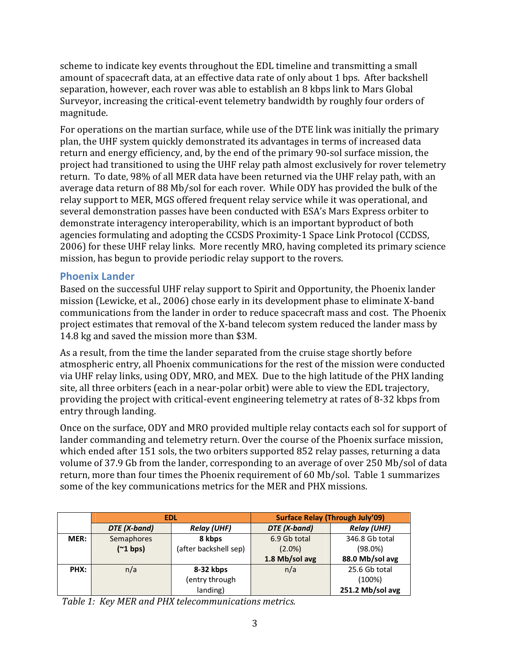scheme to indicate key events throughout the EDL timeline and transmitting a small amount of spacecraft data, at an effective data rate of only about 1 bps. After backshell separation, however, each rover was able to establish an 8 kbps link to Mars Global Surveyor, increasing the critical-event telemetry bandwidth by roughly four orders of magnitude.

For operations on the martian surface, while use of the DTE link was initially the primary plan, the UHF system quickly demonstrated its advantages in terms of increased data return and energy efficiency, and, by the end of the primary 90-sol surface mission, the project had transitioned to using the UHF relay path almost exclusively for rover telemetry return. To date, 98% of all MER data have been returned via the UHF relay path, with an average data return of 88 Mb/sol for each rover. While ODY has provided the bulk of the relay support to MER, MGS offered frequent relay service while it was operational, and several demonstration passes have been conducted with ESA's Mars Express orbiter to demonstrate interagency interoperability, which is an important byproduct of both agencies formulating and adopting the CCSDS Proximity-1 Space Link Protocol (CCDSS, 2006) for these UHF relay links. More recently MRO, having completed its primary science mission, has begun to provide periodic relay support to the rovers.

#### Phoenix Lander

Based on the successful UHF relay support to Spirit and Opportunity, the Phoenix lander mission (Lewicke, et al., 2006) chose early in its development phase to eliminate X-band communications from the lander in order to reduce spacecraft mass and cost. The Phoenix project estimates that removal of the X-band telecom system reduced the lander mass by 14.8 kg and saved the mission more than \$3M.

As a result, from the time the lander separated from the cruise stage shortly before atmospheric entry, all Phoenix communications for the rest of the mission were conducted via UHF relay links, using ODY, MRO, and MEX. Due to the high latitude of the PHX landing site, all three orbiters (each in a near-polar orbit) were able to view the EDL trajectory, providing the project with critical-event engineering telemetry at rates of 8-32 kbps from entry through landing.

Once on the surface, ODY and MRO provided multiple relay contacts each sol for support of lander commanding and telemetry return. Over the course of the Phoenix surface mission, which ended after 151 sols, the two orbiters supported 852 relay passes, returning a data volume of 37.9 Gb from the lander, corresponding to an average of over 250 Mb/sol of data return, more than four times the Phoenix requirement of 60 Mb/sol. Table 1 summarizes some of the key communications metrics for the MER and PHX missions.

|      | <b>EDL</b>   |                       | <b>Surface Relay (Through July'09)</b> |                    |
|------|--------------|-----------------------|----------------------------------------|--------------------|
|      | DTE (X-band) | <b>Relay (UHF)</b>    | DTE (X-band)                           | <b>Relay (UHF)</b> |
| MER: | Semaphores   | 8 kbps                | 6.9 Gb total                           | 346.8 Gb total     |
|      | ('1 bps)     | (after backshell sep) | $(2.0\%)$                              | (98.0%)            |
|      |              |                       | 1.8 Mb/sol avg                         | 88.0 Mb/sol avg    |
| PHX: | n/a          | 8-32 kbps             | n/a                                    | 25.6 Gb total      |
|      |              | entry through)        |                                        | (100%)             |
|      |              | landing)              |                                        | 251.2 Mb/sol avg   |

Table 1: Key MER and PHX telecommunications metrics.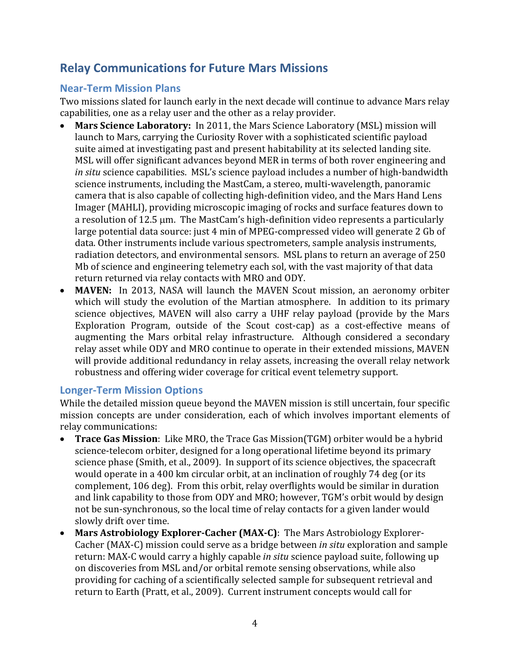## Relay Communications for Future Mars Missions

#### Near-Term Mission Plans

Two missions slated for launch early in the next decade will continue to advance Mars relay capabilities, one as a relay user and the other as a relay provider.

- Mars Science Laboratory: In 2011, the Mars Science Laboratory (MSL) mission will launch to Mars, carrying the Curiosity Rover with a sophisticated scientific payload suite aimed at investigating past and present habitability at its selected landing site. MSL will offer significant advances beyond MER in terms of both rover engineering and in situ science capabilities. MSL's science payload includes a number of high-bandwidth science instruments, including the MastCam, a stereo, multi-wavelength, panoramic camera that is also capable of collecting high-definition video, and the Mars Hand Lens Imager (MAHLI), providing microscopic imaging of rocks and surface features down to a resolution of 12.5 µm. The MastCam's high-definition video represents a particularly large potential data source: just 4 min of MPEG-compressed video will generate 2 Gb of data. Other instruments include various spectrometers, sample analysis instruments, radiation detectors, and environmental sensors. MSL plans to return an average of 250 Mb of science and engineering telemetry each sol, with the vast majority of that data return returned via relay contacts with MRO and ODY.
- MAVEN: In 2013, NASA will launch the MAVEN Scout mission, an aeronomy orbiter which will study the evolution of the Martian atmosphere. In addition to its primary science objectives, MAVEN will also carry a UHF relay payload (provide by the Mars Exploration Program, outside of the Scout cost-cap) as a cost-effective means of augmenting the Mars orbital relay infrastructure. Although considered a secondary relay asset while ODY and MRO continue to operate in their extended missions, MAVEN will provide additional redundancy in relay assets, increasing the overall relay network robustness and offering wider coverage for critical event telemetry support.

#### Longer-Term Mission Options

While the detailed mission queue beyond the MAVEN mission is still uncertain, four specific mission concepts are under consideration, each of which involves important elements of relay communications:

- Trace Gas Mission: Like MRO, the Trace Gas Mission(TGM) orbiter would be a hybrid science-telecom orbiter, designed for a long operational lifetime beyond its primary science phase (Smith, et al., 2009). In support of its science objectives, the spacecraft would operate in a 400 km circular orbit, at an inclination of roughly 74 deg (or its complement, 106 deg). From this orbit, relay overflights would be similar in duration and link capability to those from ODY and MRO; however, TGM's orbit would by design not be sun-synchronous, so the local time of relay contacts for a given lander would slowly drift over time.
- Mars Astrobiology Explorer-Cacher (MAX-C): The Mars Astrobiology Explorer-Cacher (MAX-C) mission could serve as a bridge between in situ exploration and sample return: MAX-C would carry a highly capable in situ science payload suite, following up on discoveries from MSL and/or orbital remote sensing observations, while also providing for caching of a scientifically selected sample for subsequent retrieval and return to Earth (Pratt, et al., 2009). Current instrument concepts would call for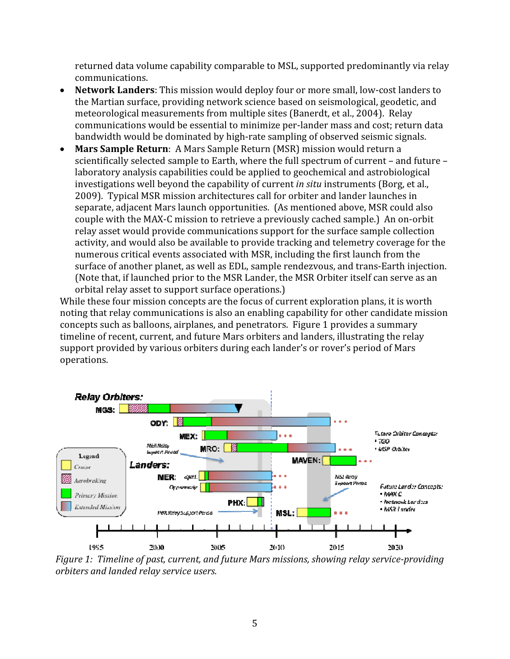returned data volume capability comparable to MSL, supported predominantly via relay communications.

- Network Landers: This mission would deploy four or more small, low-cost landers to the Martian surface, providing network science based on seismological, geodetic, and meteorological measurements from multiple sites (Banerdt, et al., 2004). Relay communications would be essential to minimize per-lander mass and cost; return data bandwidth would be dominated by high-rate sampling of observed seismic signals.
- Mars Sample Return: A Mars Sample Return (MSR) mission would return a scientifically selected sample to Earth, where the full spectrum of current – and future – laboratory analysis capabilities could be applied to geochemical and astrobiological investigations well beyond the capability of current in situ instruments (Borg, et al., 2009). Typical MSR mission architectures call for orbiter and lander launches in separate, adjacent Mars launch opportunities. (As mentioned above, MSR could also couple with the MAX-C mission to retrieve a previously cached sample.) An on-orbit relay asset would provide communications support for the surface sample collection activity, and would also be available to provide tracking and telemetry coverage for the numerous critical events associated with MSR, including the first launch from the surface of another planet, as well as EDL, sample rendezvous, and trans-Earth injection. (Note that, if launched prior to the MSR Lander, the MSR Orbiter itself can serve as an orbital relay asset to support surface operations.)

While these four mission concepts are the focus of current exploration plans, it is worth noting that relay communications is also an enabling capability for other candidate mission concepts such as balloons, airplanes, and penetrators. Figure 1 provides a summary timeline of recent, current, and future Mars orbiters and landers, illustrating the relay support provided by various orbiters during each lander's or rover's period of Mars operations.



Figure 1: Timeline of past, current, and future Mars missions, showing relay service-providing orbiters and landed relay service users.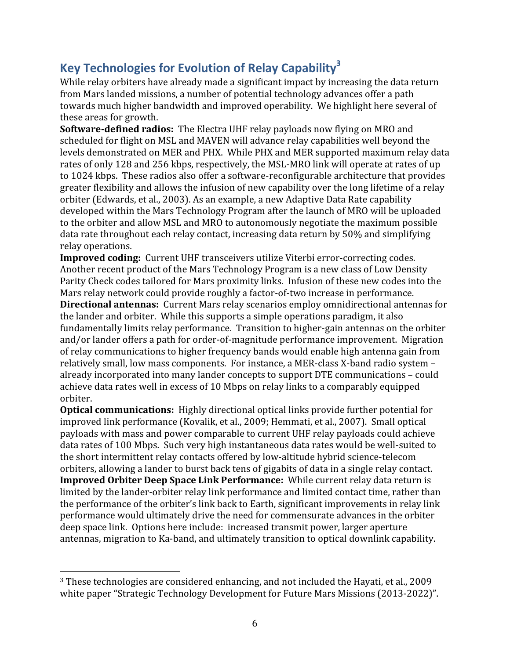# Key Technologies for Evolution of Relay Capability<sup>3</sup>

While relay orbiters have already made a significant impact by increasing the data return from Mars landed missions, a number of potential technology advances offer a path towards much higher bandwidth and improved operability. We highlight here several of these areas for growth.

Software-defined radios: The Electra UHF relay payloads now flying on MRO and scheduled for flight on MSL and MAVEN will advance relay capabilities well beyond the levels demonstrated on MER and PHX. While PHX and MER supported maximum relay data rates of only 128 and 256 kbps, respectively, the MSL-MRO link will operate at rates of up to 1024 kbps. These radios also offer a software-reconfigurable architecture that provides greater flexibility and allows the infusion of new capability over the long lifetime of a relay orbiter (Edwards, et al., 2003). As an example, a new Adaptive Data Rate capability developed within the Mars Technology Program after the launch of MRO will be uploaded to the orbiter and allow MSL and MRO to autonomously negotiate the maximum possible data rate throughout each relay contact, increasing data return by 50% and simplifying relay operations.

Improved coding: Current UHF transceivers utilize Viterbi error-correcting codes. Another recent product of the Mars Technology Program is a new class of Low Density Parity Check codes tailored for Mars proximity links. Infusion of these new codes into the Mars relay network could provide roughly a factor-of-two increase in performance. Directional antennas: Current Mars relay scenarios employ omnidirectional antennas for the lander and orbiter. While this supports a simple operations paradigm, it also fundamentally limits relay performance. Transition to higher-gain antennas on the orbiter and/or lander offers a path for order-of-magnitude performance improvement. Migration of relay communications to higher frequency bands would enable high antenna gain from relatively small, low mass components. For instance, a MER-class X-band radio system – already incorporated into many lander concepts to support DTE communications – could achieve data rates well in excess of 10 Mbps on relay links to a comparably equipped orbiter.

Optical communications: Highly directional optical links provide further potential for improved link performance (Kovalik, et al., 2009; Hemmati, et al., 2007). Small optical payloads with mass and power comparable to current UHF relay payloads could achieve data rates of 100 Mbps. Such very high instantaneous data rates would be well-suited to the short intermittent relay contacts offered by low-altitude hybrid science-telecom orbiters, allowing a lander to burst back tens of gigabits of data in a single relay contact. Improved Orbiter Deep Space Link Performance: While current relay data return is limited by the lander-orbiter relay link performance and limited contact time, rather than the performance of the orbiter's link back to Earth, significant improvements in relay link performance would ultimately drive the need for commensurate advances in the orbiter deep space link. Options here include: increased transmit power, larger aperture antennas, migration to Ka-band, and ultimately transition to optical downlink capability.

<u>.</u>

<sup>3</sup> These technologies are considered enhancing, and not included the Hayati, et al., 2009 white paper "Strategic Technology Development for Future Mars Missions (2013-2022)".